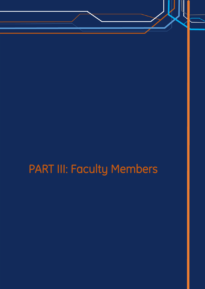# PART III: Faculty Members

PIPRC Petroleum Industry Productivity Research Center KNTU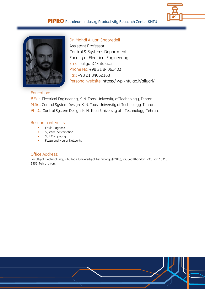



Dr. Mahdi Aliyari Shooredeli Assistant Professor Control & Systems Department Faculty of Electrical Engineering Email: aliyari@kntu.ac.ir Phone No: +98 21 84062403 Fax: +98 21 84062168 Personal website: https:// wp.kntu.ac.ir/aliyari/

#### Education:

B.Sc.: Electrical Engineering, K. N. Toosi University of Technology, Tehran. M.Sc.: Control System Design, K. N. Toosi University of Technology, Tehran. Ph.D.: Control System Design, K. N. Toosi University of Technology, Tehran.

## Research interests:

- **Fault Diagnosis**
- **System Identification**
- **Soft Computing**
- Fuzzy and Neural Networks

#### Office Address:

Faculty of Electrical Eng., K.N. Toosi University of Technology (KNTU), Sayyed Khandan, P.O. Box: 16315 1355, Tehran, Iran.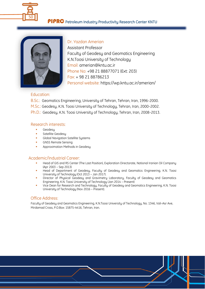



Dr. Yazdan Amerian Assistant Professor Faculty of Geodesy and Geomatics Engineering K.N.Toosi University of Technology Email: amerian@kntu.ac.ir Phone No: +98 21 88877071 (Ext: 203) Fax: + 98 21 88786213 Personal website: https://wp.kntu.ac.ir/amerian/

#### Education:

B.Sc.: Geomatics Engineering, University of Tehran, Tehran, Iran, 1996-2000. M.Sc.: Geodesy, K.N. Toosi University of Technology, Tehran, Iran, 2000-2002. Ph.D.: Geodesy, K.N. Toosi University of Technology, Tehran, Iran, 2008-2013.

#### Research interests:

- **Geodesu**
- Satellite Geodesy
- Global Navigation Satellite Systems
- GNSS Remote Sensing
- Approximation Methods in Geodesy

## Academic/Industrial Career:

- Head of GIS and RS Center (The Last Position), Exploration Directorate, National Iranian Oil Company (Apr 2003 – Sep 2013)
- Head of Department of Geodesy, Faculty of Geodesy and Geomatics Engineering, K.N. Toosi University of Technology (Oct 2013 – Jan 2017).
- Director of Physical Geodesy and Gravimetry Laboratory, Faculty of Geodesy and Geomatics Engineering, K.N. Toosi University of Technology (Jan 2014 – Present)
- Vice Dean for Research and Technology, Faculty of Geodesy and Geomatics Engineering, K.N. Toosi University of Technology (Nov 2016 – Present).

#### Office Address:

Faculty of Geodesy and Geomatics Engineering, K.N.Toosi University of Technology, No. 1346, Vali-Asr Ave, Mirdamad Cross, P.O.Box: 15875-4416, Tehran, Iran.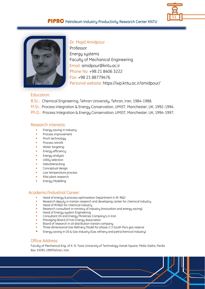



Dr. Majid Amidpour Professor Energy systems Faculty of Mechanical Engineering Email: amidpour@kntu.ac.ir Phone No: +98 21 8406 3222 Fax: +98 21 88779476 Personal website: https://wp.kntu.ac.ir/amidpour/

## Education:

B.Sc.: Chemical Engineering, Tehran University, Tehran, Iran, 1984-1988.

M.Sc.: Process Integration & Energy Conservation, UMIST, Manchester, UK, 1992-1994.

Ph.D.: Process Integration & Energy Conservation, UMIST, Manchester, UK, 1994-1997.

#### Research interests:

- Energy saving in industry
- Process improvement
- Pinch technology
- Process retrofit
- Water targeting
- Energy efficiency
- Exergy analysis
- Utility selection
- Debottlenecking
- Conceptual design
- Low temperature process
- Pilot plant research
- Energy Modelling

#### Academic/Industrial Career:

- Head of energy & process optimization Department in IR. R&D
- Research deputy in Iranian research and developing center for chemical industry
- Head of IR.R&D for chemical industry
- Research consultant in ministry of industry (Innovation and energy saving)
- Head of Energy system Engineering
- Consultant Oil and Energy Ministries Company's in Iran
- Managing Board of Iran Energy Association
- Board of research in oil distribution Iranian company
- Three dimensional Gas Refinery Model for phase 2-3 South Pars gas reserve
- **Energy saving in Oil & Gas Industry (Gas refinery and petrochemical Industry)**

#### Office Address:

Faculty of Mechanical Eng. of K. N. Toosi University of Technology Vanak Square, Molla-Sadra, Pardis Box 19395-1999Tehran, Iran.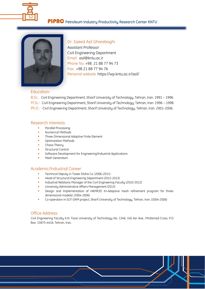



#### Dr. Saeed Asil Gharebaghi

Assistant Professor Civil Engineering Department Email: asil@kntu.ac.ir Phone No: +98 21 88 77 94 73 Fax: +98 21 88 77 94 76 Personal website: <https://wp.kntu.ac.ir/asil/>

#### Education:

B.Sc.: Civil Engineering Department, Sharif University of Technology, Tehran, Iran. 1991 – 1996. M.Sc.: Civil Engineering Department, Sharif University of Technology, Tehran, Iran. 1996 – 1998. Ph.D.: Civil Engineering Department, Sharif University of Technology, Tehran, Iran. 2001-2006.

#### Research interests:

- Parallel Processing
- Numerical Methods
- **Three-Dimensional Adaptive Finite Element**
- Optimization Methods
- Chaos Theory
- Structural Control
- Software Development for Engineering/Industrial Applications
- Mesh Generation

#### Academic/Industrial Career:

- Technical Deputy in Tosee Siloha Co. (2006-2011)
- Head of Structural Engineering Department (2012-2013)
- Industrial Relations Manager of the Civil Engineering Faculty (2010-2012)
- University Administrative Affairs Management (2013)
- Design and Implementation of HAMR3D (H-Adaptive mesh refinement program for threedimensional models). (2004-2006)
- Co-operation in SUT-DAM project, Sharif University of Technology, Tehran, Iran. (2004-2006)

#### Office Address:

Civil Engineering Faculty K.N. Toosi University of Technology No. 1346, Vali Asr Ave., Mirdamad Cross, P.O. Box: 15875-4416, Tehran, Iran.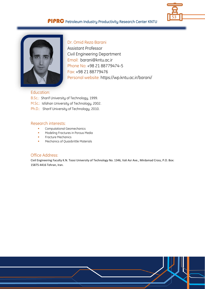



Dr. Omid Reza Barani Assistant Professor Civil Engineering Department Email: barani@kntu.ac.ir Phone No: +98 21 88779474-5 Fax: +98 21 88779476 Personal website: https://wp.kntu.ac.ir/barani/

#### Education:

B.Sc.: Sharif University of Technology, 1999.

M.Sc.: Isfahan University of Technology, 2002.

Ph.D.: Sharif University of Technology, 2010.

#### Research interests:

- Computational Geomechanics
- **Modeling Fractures in Porous Media**
- **Fracture Mechanics**
- **Mechanics of Quasibrittle Materials**

#### Office Address:

Civil Engineering Faculty K.N. Toosi University of Technology No. 1346, Vali Asr Ave., Mirdamad Cross, P.O. Box: 15875-4416 Tehran, Iran.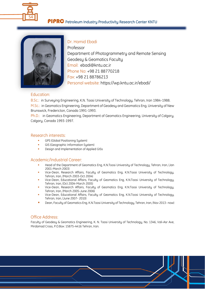



Dr. Hamid Ebadi Professor Department of Photogrammetry and Remote Sensing Geodesy & Geomatics Faculty Email: ebadi@kntu.ac.ir Phone No: +98 21 88770218 Fax: +98 21 88786213 Personal website: https://wp.kntu.ac.ir/ebadi/

#### Education:

B.Sc.: in Surveying Engineering, K.N. Toosi University of Technology, Tehran, Iran 1984-1988. M.Sc.: in Geomatics Engineering, Department of Geodesy and Geomatics Eng, University of New Brunswick, Fredericton, Canada 1991-1993.

Ph.D.: in Geomatics Engineering, Department of Geomatics Engineering, University of Calgary, Calgary, Canada 1993-1997.

#### Research interests:

- GPS (Global Positioning System)
- GIS (Geographic Information System)
- **•** Design and Implementation of Applied GISs

## Academic/Industrial Career:

- Head of the Department of Geomatics Eng, K.N.Toosi University of Technology, Tehran, Iran, (Jan 2001-March 2003)
- Vice-Dean, Research Affairs, Faculty of Geomatics Eng, K.N.Toosi University of Technology, Tehran, Iran, (March 2003-Oct 2004)
- Vice-Dean, Educational Affairs, Faculty of Geomatics Eng, K.N.Toosi University of Technology, Tehran, Iran, (Oct 2004-March 2005)
- Vice-Dean, Research Affairs, Faculty of Geomatics Eng, K.N.Toosi University of Technology, Tehran, Iran, (March 2005-June 2006)
- Vice-Dean, Educational Affairs, Faculty of Geomatics Eng, K.N.Toosi University of Technology, Tehran, Iran, (June 2007- 2010)
- Dean, Faculty of Geomatics Eng, K.N.Toosi University of Technology, Tehran, Iran, (Nov 2013- now)

#### Office Address:

Faculty of Geodesy & Geomatics Engineering, K. N. Toosi University of Technology, No. 1346, Vali-Asr Ave, Mirdamad Cross, P.O.Box: 15875-4416 Tehran, Iran.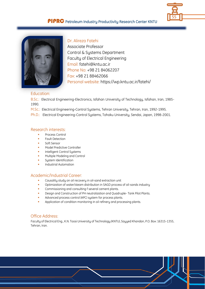



## Dr. Alireza Fatehi

Associate Professor Control & Systems Department Faculty of Electrical Engineering Email: fatehi@kntu.ac.ir Phone No: +98 21 84062207 Fax: +98 21 88462066 Personal website: https://wp.kntu.ac.ir/fatehi/

#### Education:

B.Sc.: Electrical Engineering-Electronics, Isfahan University of Technology, Isfahan, Iran, 1985-1990.

M.Sc.: Electrical Engineering-Control Systems, Tehran University, Tehran, Iran, 1992-1995.

Ph.D.: Electrical Engineering-Control Systems, Tohoku University, Sendai, Japan, 1998-2001.

#### Research interests:

- Process Control
- Fault Detection
- Soft Sensor
- Model Predictive Controller
- Intelligent Control Systems
- Multiple Modeling and Control
- System Identification
- Industrial Automation

#### Academic/Industrial Career:

- Causality study on oil recovery in oil-sand extraction unit
- Optimization of water/steam distribution in SAGD process of oil-sands industry
- Commissioning and consulting f several cement plants.
- Design and Construction of PH neutralization and Quadruple- Tank Pilot Plants.
- Advanced process control (APC) system for process plants.
- Application of condition monitoring in oil refinery and processing plants.

#### Office Address:

Faculty of Electrical Eng., K.N. Toosi University of Technology (KNTU), Sayyed Khandan, P.O. Box: 16315-1355, Tehran, Iran.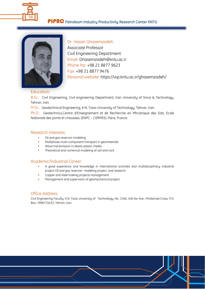



Dr. Hasan Ghasemzadeh Associate Professor Civil Engineering Department Email: Ghasemzadeh@kntu.ac.ir Phone No: +98 21 8877 9623 Fax: +98 21 8877 9476 Personal website: https://wp.kntu.ac.ir/ghasemzadeh/

#### Education:

B.Sc.: Civil Engineering, Civil engineering Department, Iran University of Since & Technology, Tehran, Iran.

M.Sc.: Geotechnical Engineering, K.N. Toosi University of Technology, Tehran, Iran.

Ph.D.: Geotechnics,Centre d'Enseignement et de Recherche en Mhcanique des Sols, Ecole Nationale des ponts et chausses, (ENPC – CERMES), Paris, France.

#### Research interests:

- Oil and gas reservoir modeling
- Multiphase multi-component transport in geomaterials
- Wave transmission in elasto-plastic media
- Theoretical and numerical modeling of soil and rock

#### Academic/Industrial Career:

- A good experience and knowledge in international activities and multidisciplinary industrial project Oil and gas reservoir modeling project and research
- Copper and steel making projects management
- Management and supervision of geomechanical project

#### Office Address:

Civil Engineering Faculty, K.N. Toosi University of Technology, No. 1346, Vali Asr Ave., Mirdamad Cross, P.O. Box: 1996715433, Tehran, Iran.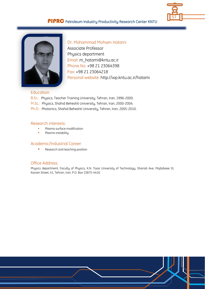



Dr. Mohammad Mohsen Hatami Associate Professor Physics department Email: m\_hatami@kntu.ac.ir Phone No: +98 21 23064398 Fax: +98 21 23064218 Personal website: http://wp.kntu.ac.ir/hatami

#### Education:

B.Sc.: Physics, Teacher Training University, Tehran, Iran, 1996-2000. M.Sc.: Physics, Shahid Beheshti University, Tehran, Iran, 2000-2004. Ph.D.: Photonics, Shahid Beheshti University, Tehran, Iran, 2005-2010.

#### Research interests:

- Plasma surface modification
- Plasma instability

#### Academic/Industrial Career:

**Research and teaching position** 

#### Office Address:

Physics department, Faculty of Physics, K.N. Toosi University of Technology, Shariati Ave, Mojtabaee St, Kavian Street, 41, Tehran, Iran. P.O. Box 15875-4416.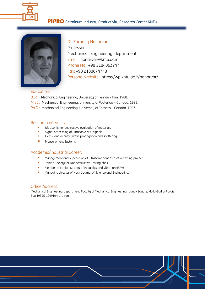



Dr. Farhang Honarvar Professor Mechanical Engineering department Email: honarvar@kntu.ac.ir Phone No: +98 2184063247 Fax: +98 2188674748 Personal website: https://wp.kntu.ac.ir/honarvar/

#### Education:

- B.Sc.: Mechanical Engineering, University of Tehran Iran, 1988.
- M.Sc.: Mechanical Engineering, University of Waterloo Canada, 1993.
- Ph.D.: Mechanical Engineering, University of Toronto Canada, 1997.

#### Research interests:

- Ultrasonic nondestructive evaluation of materials
- **Signal processing of ultrasonic NDE signals**
- **Elastic and acoustic wave propagation and scattering**
- **Measurement Systems**

#### Academic/Industrial Career:

- Management and supervision of ultrasonic nondestructive testing project
- **Indian Society for Nondestructive Testing chair.**
- **Member of Iranian Society of Acoustics and Vibration (ISAV).**
- **Managing director of Nasir Journal of Science and Engineering.**

#### Office Address:

Mechanical Engineering department, Faculty of Mechanical Engineering, Vanak Square, Molla-Sadra, Pardis Box 19395-1999Tehran, Iran.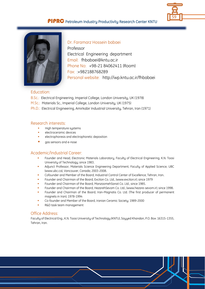



Dr. Faramarz Hossein babaei Professor Electrical Engineering department Email: fhbabaei@kntu.ac.ir Phone No: +98-21 84062411 (Room) Fax: :+982188768289 Personal website: http://wp.kntu.ac.ir/fhbabaei

#### Education:

- B.Sc.: Electrical Engineering, Imperial College, London University, UK (1978)
- M.Sc.: Materials Sc., Imperial College, London University, UK (1975)
- Ph.D.: Electrical Engineering, Amirkabir Industrial University, Tehran, Iran (1971)

#### Research interests:

- High temperature sustems
- electroceramic devices
- electrophoresis and electrophoretic deposition
- gas sensors and e-nose

#### Academic/Industrial Career:

- Founder and Head, Electronic Materials Laboratory, Faculty of Electrical Engineering, K.N. Toosi University of Technology; since 1983.
- Adjunct Professor, Materials Science Engineering Department, Faculty of Applied Science, UBC (www.ubc.ca), Vancouver, Canada; 2003-2008.
- Cofounder and Member of the Board, Industrial Control Center of Excellence, Tehran, Iran.
- Founder and Chairman of the Board, Exciton Co. Ltd., (www.exciton.ir); since 1979
- Founder and Chairman of the Board, ManzoomehSanat Co. Ltd.; since 1985.
- Founder and Chairman of the Board, HezarehSevom Co. Ltd.; (www.hezare-sevom.ir); since 1998.
- Founder and Chairman of the Board, Iran-Magnatis Co. Ltd. (The first producer of permanent magnets in Iran); 1978-1994
- Co-founder and Member of the Board, Iranian Ceramic Society; 1989-2000
- R&D task team management

## Office Address:

Faculty of Electrical Eng., K.N. Toosi University of Technology (KNTU), Sayyed Khandan, P.O. Box: 16315-1355, Tehran, Iran.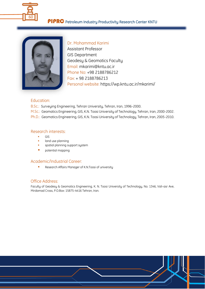



Dr. Mohammad Karimi Assistant Professor GIS Department Geodesy & Geomatics Faculty Email: mkarimi@kntu.ac.ir Phone No: +98 2188786212 Fax: + 98 2188786213 Personal website: https://wp.kntu.ac.ir/mkarimi/

#### Education:

B.Sc.: Surveying Engineering, Tehran University, Tehran, Iran, 1996-2000.

M.Sc.: Geomatics Engineering, GIS, K.N. Toosi University of Technology, Tehran, Iran, 2000-2002. Ph.D.: Geomatics Engineering, GIS, K.N. Toosi University of Technology, Tehran, Iran, 2005-2010.

#### Research interests:

- GIS
- land use planning
- **spatial planning support system**
- **potential mapping**

#### Academic/Industrial Career:

Research Affairs Manager of K.N.Toosi of university

# Office Address:

Faculty of Geodesy & Geomatics Engineering, K. N. Toosi University of Technology, No. 1346, Vali-asr Ave, Mirdamad Cross, P.O.Box: 15875-4416 Tehran, Iran.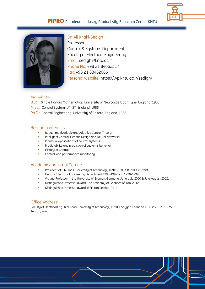



Dr. Ali Khaki-Sedigh

Professor Control & Systems Department Faculty of Electrical Engineering Email: sedigh@kntu.ac.ir Phone No: +98 21 84062317 Fax: +98 21 88462066 Personal website: https://wp.kntu.ac.ir/sedigh/

## Education:

- B.Sc.: Single Honors Mathematics, University of Newcastle Upon Tyne, England, 1983.
- M.Sc.: Control System, UMIST, England, 1985.
- Ph.D.: Control Engineering, University of Salford, England, 1988.

#### Research interests:

- Robust multivariable and Adaptive Control Theory
- Intelligent Control (Genetic Design and Neural Networks)
- **Industrial applications of control systems**
- **Predictability and prediction of system's behavior**
- History of Control
- Control loop performance monitoring

### Academic/Industrial Career:

- President of K.N. Toosi University of Technology (KNTU), 2003-8, 2013-current
- Head of Electrical Engineering Department 1990-1992 and 1998-1999.
- Visiting Professor in the University of Bremen, Germany, June-July 2000 & July-August 2002.
- Distinguished Professor award, The Academy of Sciences of Iran, 2012
- Distinguished Professor award, IEEE Iran Section, 2014

#### Office Address:

Faculty of Electrical Eng., K.N. Toosi University of Technology (KNTU), Sayyed Khandan, P.O. Box: 16315-1355, Tehran, Iran.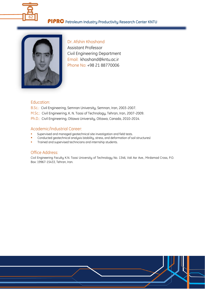



Dr. Afshin Khoshand Assistant Professor Civil Engineering Department Email: khoshand@kntu.ac.ir Phone No: +98 21 88770006

## Education:

B.Sc.: Civil Engineering, Semnan University, Semnan, Iran, 2003-2007. M.Sc.: Civil Engineering, K. N. Toosi of Technology, Tehran, Iran, 2007-2009. Ph.D.: Civil Engineering, Ottawa University, Ottawa, Canada, 2010-2014.

## Academic/Industrial Career:

- Supervised and managed geotechnical site investigation and field tests.
- Conducted geotechnical analysis (stability, stress, and deformation of soil structures)
- Trained and supervised technicians and internship students.

## Office Address:

Civil Engineering Faculty K.N. Toosi University of Technology No. 1346, Vali Asr Ave., Mirdamad Cross, P.O. Box: 19967-15433, Tehran, Iran.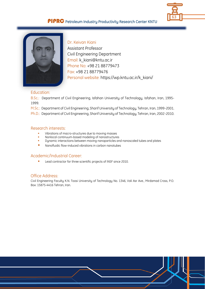



Dr. Keivan Kiani Assistant Professor Civil Engineering Department Email: k\_kiani@kntu.ac.ir Phone No: +98 21 88779473 Fax: +98 21 88779476 Personal website: https://wp.kntu.ac.ir/k\_kiani/

#### Education:

B.Sc.: Department of Civil Engineering, Isfahan University of Technology, Isfahan, Iran, 1995- 1999.

M.Sc.: Department of Civil Engineering, Sharif University of Technology, Tehran, Iran, 1999-2001.

Ph.D.: Department of Civil Engineering, Sharif University of Technology, Tehran, Iran, 2002-2010.

#### Research interests:

- Vibrations of macro-structures due to moving masses
- **Nonlocal continuum-based modeling of nanostructures**<br> **Example:** Dunamic interactions between moving nanoparticles and
- Dynamic interactions between moving nanoparticles and nanoscaled tubes and plates
- **Nanofluidic flow-induced vibrations in carbon nanotubes**

#### Academic/Industrial Career:

**Lead contractor for three scientific projects of INSF since 2010.** 

#### Office Address:

Civil Engineering Faculty K.N. Toosi University of Technology No. 1346, Vali Asr Ave., Mirdamad Cross, P.O. Box: 15875-4416 Tehran, Iran.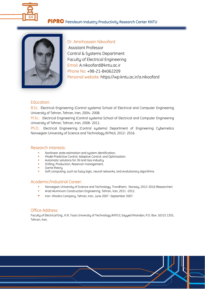



Dr. Amirhossein Nikoofard Assistant Professor Control & Systems Department Faculty of Electrical Engineering Email: A.nikoofard@kntu.ac.ir Phone No: +98-21-84062209 Personal website: https://wp.kntu.ac.ir/a.nikoofard

## Education:

B.Sc.: Electrical Engineering (Control systems) School of Electrical and Computer Engineering University of Tehran, Tehran, Iran, 2004- 2008.

M.Sc.: Electrical Engineering (Control systems) School of Electrical and Computer Engineering University of Tehran, Tehran, Iran, 2008- 2011.

Ph.D.: Electrical Engineering (Control systems) Department of Engineering Cybernetics Norwegian University of Science and Technology (NTNU), 2012- 2016.

#### Research interests:

- Nonlinear state estimation and system identification,
- Model Predictive Control, Adaptive Control, and Optimization
- Automatic solutions for Oil and Gas industry
- Drilling, Production, Reservoir management,
- Game theory
- Soft computing, such as fuzzy logic, neural networks, and evolutionary algorithms

#### Academic/Industrial Career:

- Norwegian University of Science and Technology, Trondheim, Norway, 2012-2016 (Researcher)
- Arad Aluminum Construction Engineering, Tehran, Iran, 2011 -2012.
- Iran -Khodro Company, Tehran, Iran, June 2007 -September 2007.

## Office Address:

Faculty of Electrical Eng., K.N. Toosi University of Technology (KNTU), Sayyed Khandan, P.O. Box: 16315 1355, Tehran, Iran.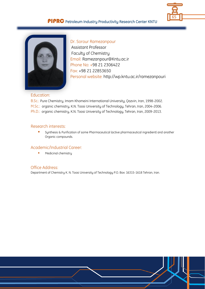



 Dr. Sorour Ramezanpour Assistant Professor Faculty of Chemistry Email: Ramezanpour@Kntu.ac.ir Phone No: +98 21 2306422 Fax: +98 21 22853650 Personal website: http://wp.kntu.ac.ir/ramezanpouri

## Education:

B.Sc.: Pure Chemistry, Imam Khomeini International University, Qazvin, Iran, 1998-2002. M.Sc.: organic chemistry, K.N. Toosi University of Technology, Tehran, Iran, 2004-2006. Ph.D.: organic chemistry, K.N. Toosi University of Technology, Tehran, Iran, 2009-2013.

### Research interests:

 Synthesis & Purification of some Pharmaceutical (active pharmaceutical ingredient) and another Organic compounds.

## Academic/Industrial Career:

**Medicinal chemistry** 

#### Office Address:

Department of Chemistry K. N. Toosi University of Technology P.O. Box: 16315-1618 Tehran, Iran.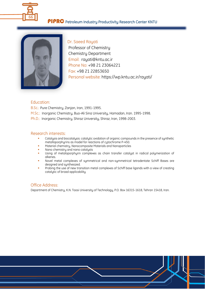



Dr. Saeed Rayati Professor of Chemistry Chemistry Department Email: rayati@kntu.ac.ir Phone No: +98 21 23064221 Fax: +98 21 22853650 Personal website: https://wp.kntu.ac.ir/rayati/

### Education:

B.Sc.: Pure Chemistry, Zanjan, Iran, 1991-1995.

- M.Sc.: Inorganic Chemistry, Buo-Ali Sina University, Hamadan, Iran. 1995-1998.
- Ph.D.: Inorganic Chemistry, Shiraz University, Shiraz, Iran, 1998-2003.

#### Research interests:

- Catalysis and biocatalysis: catalytic oxidation of organic compounds in the presence of synthetic metalloporphyrins as model for reactions of cytochrome P-450.
- Material chemistry, Nanocomposite Materials and Nanoparticles
- Nano chemistry and nano catalysts
- Using of metaloporphyrin complexes as chain transfer catalyst in radical polymerization of alkenes.
- Novel metal complexes of symmetrical and non-symmetrical tetradentate Schiff Bases are designed and synthesized.
- Probing the use of new transition metal complexes of Schiff base ligands with a view of creating catalytic of broad applicability

## Office Address:

Department of Chemistry, K.N. Toosi University of Technology, P.O. Box 16315-1618, Tehran 15418, Iran.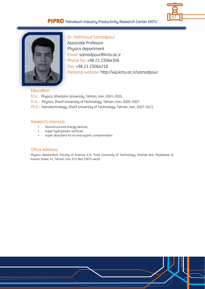



Dr. Mahmoud Samadpour Associate Professor Physics department Email: samadpour@kntu.ac.ir Phone No: +98 21 23064306 Fax: +98 21 23064218 Personal website: http://wp.kntu.ac.ir/samadpour

#### Education:

B.Sc.: Physics, Kharazmi University, Tehran, Iran, 2001-2005.

- M.Sc.: Physics, Sharif University of Technology, Tehran, Iran, 2005-2007.
- Ph.D.: Nanotechnology, Sharif University of Technology, Tehran, Iran, 2007-2011.

#### Research interests:

- Nanostructured energy devices,
- Super hydrophobic surfaces,
- Super absorbers for oil and organic contamination

## Office Address:

Physics department, Faculty of Science, K.N. Toosi University of Technology, Shariati Ave, Mojtabaee St, Kavian Street, 41, Tehran, Iran. P.O. Box 15875-4416.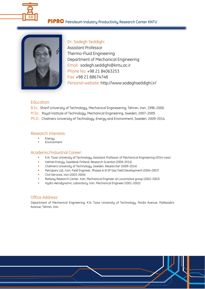



Dr. Sadegh Seddighi Assistant Professor Thermo-Fluid Engineering Department of Mechanical Engineering Email: sadegh.seddighi@kntu.ac.ir Phone No: +98 21 84063253 Fax: +98 21 88674748 Personal website: http://www.sadeghseddighi.ir/

## Education:

B.Sc.: Sharif University of Technology, Mechanical Enginesering, Tehran, Iran, 1996-2000. M.Sc.: Royal Institute of Technology, Mechanical Engineering, Sweden, 2007-2009. Ph.D.: Chalmers University of Technology, Energy and Environment, Sweden, 2009-2014.

#### Research interests:

- Energy
- Environment

#### Academic/Industrial Career:

- K.N. Toosi University of Technology, Assistant Professor of Mechanical Engineering (2014-now)
- Valmet Energy, Sweden& Finland, Research Scientist (2009-2014)
- Chalmers University of Technology, Sweden, Researcher (2009-2014)
- Petropars Ltd., Iran, Field Engineer, Phases 6-8 SP Gas Field Development (2004-2007)
- Civil Services, Iran (2003-2004)
- Railway Research Center, Iran, Mechanical Engineer at Locomotive group (2002-2003)
- Hydro Aerodynamic Laboratory, Iran, Mechanical Engineer (2001-2002)

#### Office Address:

Department of Mechanical Engineering, K.N. Toosi University of Technology, Pardis Avenue, Mollasadra Avanue, Tehran, Iran.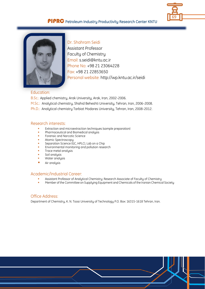



Dr. Shahram Seidi Assistant Professor Faculty of Chemistry Email: s.seidi@kntu.ac.ir Phone No: +98 21 23064228 Fax: +98 21 22853650 Personal website: http://wp.kntu.ac.ir/seidi

#### Education:

B.Sc.: Applied chemistry, Arak University, Arak, Iran, 2002-2006. M.Sc.: Analytical chemistry, Shahid Beheshti University, Tehran, Iran, 2006-2008. Ph.D.: Analytical chemistry Tarbiat Modares University, Tehran, Iran, 2008-2012.

## Research interests:

- Extraction and microextraction techniques (sample preparation)
- Pharmaceutical and Biomedical analysis
- Forensic and Narcotic Science
- Atomic Spectroscopy
- Separation Science (GC, HPLC), Lab on a Chip
- Environmental monitoring and pollution research
- Trace metal analysis
- Soil analysis
- Water analysis
- Air analysis

## Academic/Industrial Career:

- Assistant Professor of Analytical Chemistry; Research Associate of Faculty of Chemistry
- Member of the Committee on Supplying Equipment and Chemicals of the Iranian Chemical Society

## Office Address:

Department of Chemistry, K. N. Toosi University of Technology P.O. Box: 16315-1618 Tehran, Iran.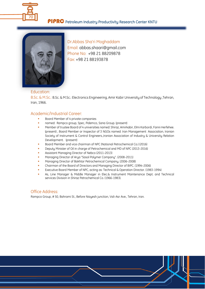



Dr.Abbas Sha'ri Moghaddam Email: abbas.shaari@gmail.com Phone No: +98 21 88209878 Fax: +98 21 88193878

#### Education:

B.Sc. & M.Sc.: B.Sc. & M.Sc.: Electronics Engineering, Amir Kabir University of Technology ,Tehran, Iran, 1966.

## Academic/Industrial Career:

- Board Member of 4 private companies
- named: Rampco group, Spec, Pidemco, Sana Group. (present)
- Member of trustee Board of 4 universities named: Shiraz, Amirkabir, Elmi Karbordi, Fanni Herfehee. (present) , Board Member or Inspector of 3 NGOs named: Iran Management Association, Iranian Society of Instrument & Control Engineers.,Iranian Association of Industry & University Relation Development. (present)
- Board Member and vice chairman of NPC (National Petrochemical Co.) (2016)
- Deputy Minister of Oil in charge of Petrochemical and MD of NPC (2013-2016)
- Assistant Managing Director of Nebco (2011-2013)
- Managing Director of Arya "Sasol Polymer Company". (2008-2011)
- Managing Director of Bakhtar Petrochemical Company. (2006-2008)
- Chairman of the Board of Directors and Managing Director of BIPC. (1994-2006)
- Executive Board Member of NPC, acting as: Technical & Operation Director. (1983-1994)
- As, Line Manager & Middle Manager in Elec.& Instrument Maintenance Dept. and Technical services Division in Shiraz Petrochemical Co. (1966-1983).

#### Office Address:

Rampco Group, # 50, Bahrami St., Before Niayesh junction, Vali-Asr Ave., Tehran, Iran.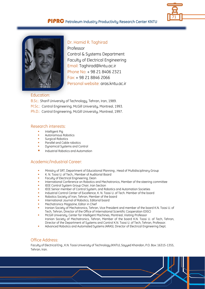



Dr. Hamid R. Taghirad Professor Control & Systems Department Faculty of Electrical Engineering Email: Taghirad@kntu.ac.ir Phone No: + 98 21 8406 2321 Fax: + 98 21 8846 2066 Personal website: aras.kntu.ac.ir

#### Education:

B.Sc.: Sharif University of Technology, Tehran, Iran, 1989.

- M.Sc.: Control Engineering, McGill University, Montreal, 1993.
- Ph.D.: Control Engineering, McGill University, Montreal, 1997.

#### Research interests:

- Intelligent Pig
- Autonomous Robotics
- Surgical Robotics
- Parallel and Cable robotics
- Dynamical Systems and Control
- Industrial Robotics and Automation

## Academic/Industrial Career:

- Ministry of SRT, Department of Educational Planning , Head of Multidisciplinary Group
- K. N. Toosi U. of Tech., Member of Auditorial Board
- Faculty of Electrical Engineering, Dean
- International Conference on Robotics and Mechatronics, Member of the steering committee
- IEEE Control System Group Chair, Iran Section
- IEEE Senior member of Control System, and Robotics and Automation Societies
- Industrial Control Center of Excellence, K. N. Toosi U. of Tech. Member of the board
- Robotics Society of Iran, Tehran, Member of the board
- International Journal of Robotics, Editorial board
- Mechatronics Magazine, Editor in Chief
- Iranian Society of Mechatronics, Tehran, Vice President and member of the board K.N. Toosi U. of Tech, Tehran, Director of the Office of International Scientific Cooperation (OISC)
- McGill University, Center for Intelligent Machines, Montreal, Visiting Professor Iranian Society of Mechatronics, Tehran, Member of the board K.N. Toosi U. of Tech, Tehran, Director of the Department of Systems and Control K.N. Toosi U. of Tech, Tehran, Professor.
- Advanced Robotics and Automated Systems (ARAS), Director of Electrical Engineering Dept.

#### Office Address:

Faculty of Electrical Eng., K.N. Toosi University of Technology (KNTU), Sayyed Khandan, P.O. Box: 16315-1355, Tehran, Iran.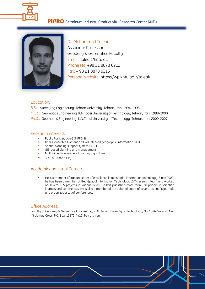



Dr. Mohammad Taleai Associate Professor Geodesy & Geomatics Faculty Email: taleai@kntu.ac.ir Phone No: +98 21 8878 6212 Fax: + 98 21 8878 6213 Personal website: https://wp.kntu.ac.ir/taleai/

## Education:

B.Sc.: Surveying Engineering, Tehran University, Tehran, Iran, 1994-1998.

- M.Sc.: Geomatics Engineering, K.N.Toosi University of Technology, Tehran, Iran, 1998-2000.
- Ph.D.: Geomatics Engineering, K.N.Toosi University of Technology, Tehran, Iran, 2000-2007.

#### Research interests:

- Public Participation GIS (PPGIS)
- User-Generated Content and Volunteered geographic information (VGI)
- Spatial planning support system (SPSS)
- GIS-based planning and management
- Multi-Objectives and evolutionary algorithms
- 3D GIS & Smart City

#### Academic/Industrial Career:

 He is a member of Iranian center of excellence in geospatial information technology. Since 2000, he has been a member of Geo-Spatial Information Technology (GIT) research team and worked on several GIS projects in various fields. He has published more than 130 papers in scientific journals and conferences. He is also a member of the editorial board of several scientific journals and organized a set of conferences.

## Office Address:

Faculty of Geodesy & Geomatics Engineering, K. N. Toosi University of Technology, No. 1346, Vali-asr Ave, Mirdamad Cross, P.O. Box: 15875-4416, Tehran, Iran.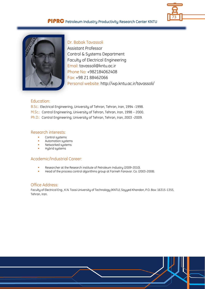



Dr. Babak Tavassoli Assistant Professor Control & Systems Department Faculty of Electrical Engineering Email: tavassoli@kntu.ac.ir Phone No: +982184062408 Fax: +98 21 88462066 Personal website: http://wp.kntu.ac.ir/tavassoli/

## Education:

B.Sc.: Electrical Engineering, University of Tehran, Tehran, Iran, 1994 -1998.

M.Sc.: Control Engineering, University of Tehran, Tehran, Iran, 1998 – 2000.

Ph.D.: Control Engineering, University of Tehran, Tehran, Iran, 2003 -2009.

#### Research interests:

- **Control systems**
- **Automation systems**<br>• Networked sustems
- Networked systems
- **Hybrid systems**

## Academic/Industrial Career:

- Researcher at the Research institute of Petroleum Industry (2009-2010).
- Head of the process control algorithms group at Farineh Fanavar. Co. (2003-2008).

#### Office Address:

Faculty of Electrical Eng., K.N. Toosi University of Technology (KNTU), Sayyed Khandan, P.O. Box: 16315-1355, Tehran, Iran.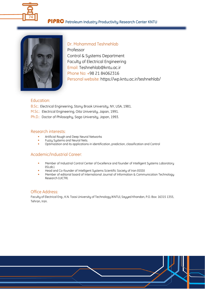



Dr. Mohammad Teshnehlab Professor Control & Systems Department Faculty of Electrical Engineering Email: Teshnehlab@kntu.ac.ir Phone No: +98 21 84062316 Personal website: https://wp.kntu.ac.ir/teshnehlab/

#### Education:

- B.Sc.: Electrical Engineering, Stony Brook University, NY, USA, 1981.
- M.Sc.: Electrical Engineering, Oita University, Japan, 1991.
- Ph.D.: Doctor of Philosophy, Saga University, Japan, 1993.

#### Research interests:

- Artificial Rough and Deep Neural Networks
- **FUZZY Systems and Neural Nets.**
- Optimization and its applications in identification, prediction, classification and Control

# Academic/Industrial Career:

- Member of Industrial Control Center of Excellence and founder of Intelligent Systems Laboratory (ISLab.).
- Head and Co-founder of Intelligent Systems Scientific Society of Iran (ISSSI)
- Member of editorial board of International Journal of Information & Communication Technology Research (IJICTR).

#### Office Address:

Faculty of Electrical Eng., K.N. Toosi University of Technology (KNTU), Sayyed Khandan, P.O. Box: 16315 1355, Tehran, Iran.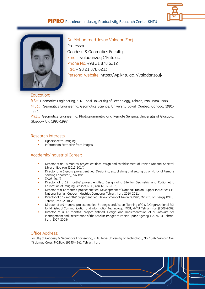



Dr. Mohammad Javad Valadan Zoej Professor Geodesy & Geomatics Faculty Email: valadanzouj@kntu.ac.ir Phone No: +98 21 878 6212 Fax: + 98 21 878 6213 Personal website: https://wp.kntu.ac.ir/valadanzouj/

#### Education:

B.Sc.: Geomatics Engineering, K. N. Toosi University of Technology, Tehran, Iran, 1984-1988. M.Sc.: Geomatics Engineering, Geomatics Science, University Laval, Quebec, Canada, 1991- 1993.

Ph.D.: Geomatics Engineering, Photogrammetry and Remote Sensing, University of Glasgow, Glasgow, UK, 1993-1997.

#### Research interests:

- Hyperspectral imaging
- Information Extraction from images

## Academic/Industrial Career:

- Director of an 18 months' project entitled: Design and establishment of Iranian National Spectral Library, ISA, Iran. (2012-2014)
- Director of a 6 years' project entitled: Designing, establishing and setting up of National Remote Sensing Laboratory, ISA, Iran.
- (2008-2014)
- Director of a 12 months' project entitled: Design of a Site for Geometric and Radiometric Calibration of Imaging Sensors, NCC, Iran. (2012-2013)
- Director of a 12 months' project entitled: Development of National Iranian Cupper Industries GIS, National Iranian Cupper Industries Company, Tehran, Iran. (2010-2011)
- Director of a 12 months' project entitled: Development of Tavanir GIS (2), Ministry of Energy, KNTU, Tehran, Iran. (2010-2011)
- Director of a 9 months' project entitled: Strategic and Action Planning of GIS & Organizational SDI for Ministry of Communication and Information Technology, MCIT, KNTU, Tehran, Iran. (2008-2009)
- Director of a 12 months' project entitled: Design and Implementation of a Software for Management and Presentation of the Satellite Images of Iranian Space Agency, ISA, KNTU, Tehran, Iran. (2007-2008)

## Office Address:

Faculty of Geodesy & Geomatics Engineering, K. N. Toosi University of Technology, No. 1346, Vali-asr Ave, Mirdamad Cross, P.O.Box: 19395-4941, Tehran, Iran.